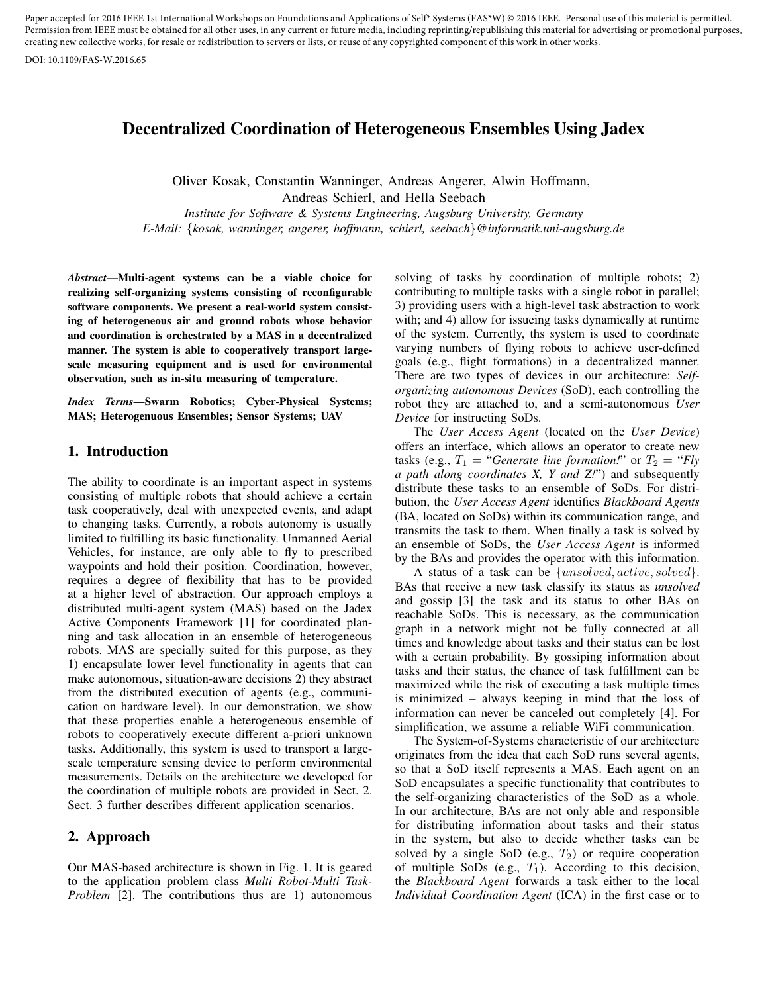Paper accepted for 2016 IEEE 1st International Workshops on Foundations and Applications of Self\* Systems (FAS\*W) © 2016 IEEE. Personal use of this material is permitted. Permission from IEEE must be obtained for all other uses, in any current or future media, including reprinting/republishing this material for advertising or promotional purposes, creating new collective works, for resale or redistribution to servers or lists, or reuse of any copyrighted component of this work in other works.

DOI: 10.1109/FAS-W.2016.65

# Decentralized Coordination of Heterogeneous Ensembles Using Jadex

Oliver Kosak, Constantin Wanninger, Andreas Angerer, Alwin Hoffmann, Andreas Schierl, and Hella Seebach *Institute for Software & Systems Engineering, Augsburg University, Germany E-Mail:* {*kosak, wanninger, angerer, hoffmann, schierl, seebach*}*@informatik.uni-augsburg.de*

*Abstract*—Multi-agent systems can be a viable choice for realizing self-organizing systems consisting of reconfigurable software components. We present a real-world system consisting of heterogeneous air and ground robots whose behavior and coordination is orchestrated by a MAS in a decentralized manner. The system is able to cooperatively transport largescale measuring equipment and is used for environmental observation, such as in-situ measuring of temperature.

*Index Terms*—Swarm Robotics; Cyber-Physical Systems; MAS; Heterogenuous Ensembles; Sensor Systems; UAV

### 1. Introduction

The ability to coordinate is an important aspect in systems consisting of multiple robots that should achieve a certain task cooperatively, deal with unexpected events, and adapt to changing tasks. Currently, a robots autonomy is usually limited to fulfilling its basic functionality. Unmanned Aerial Vehicles, for instance, are only able to fly to prescribed waypoints and hold their position. Coordination, however, requires a degree of flexibility that has to be provided at a higher level of abstraction. Our approach employs a distributed multi-agent system (MAS) based on the Jadex Active Components Framework [1] for coordinated planning and task allocation in an ensemble of heterogeneous robots. MAS are specially suited for this purpose, as they 1) encapsulate lower level functionality in agents that can make autonomous, situation-aware decisions 2) they abstract from the distributed execution of agents (e.g., communication on hardware level). In our demonstration, we show that these properties enable a heterogeneous ensemble of robots to cooperatively execute different a-priori unknown tasks. Additionally, this system is used to transport a largescale temperature sensing device to perform environmental measurements. Details on the architecture we developed for the coordination of multiple robots are provided in Sect. 2. Sect. 3 further describes different application scenarios.

## 2. Approach

Our MAS-based architecture is shown in Fig. 1. It is geared to the application problem class *Multi Robot-Multi Task-Problem* [2]. The contributions thus are 1) autonomous solving of tasks by coordination of multiple robots; 2) contributing to multiple tasks with a single robot in parallel; 3) providing users with a high-level task abstraction to work with; and 4) allow for issueing tasks dynamically at runtime of the system. Currently, ths system is used to coordinate varying numbers of flying robots to achieve user-defined goals (e.g., flight formations) in a decentralized manner. There are two types of devices in our architecture: *Selforganizing autonomous Devices* (SoD), each controlling the robot they are attached to, and a semi-autonomous *User Device* for instructing SoDs.

The *User Access Agent* (located on the *User Device*) offers an interface, which allows an operator to create new tasks (e.g.,  $T_1$  = "*Generate line formation!*" or  $T_2$  = "*Fly a path along coordinates X, Y and Z!*") and subsequently distribute these tasks to an ensemble of SoDs. For distribution, the *User Access Agent* identifies *Blackboard Agents* (BA, located on SoDs) within its communication range, and transmits the task to them. When finally a task is solved by an ensemble of SoDs, the *User Access Agent* is informed by the BAs and provides the operator with this information.

A status of a task can be {unsolved, active, solved}. BAs that receive a new task classify its status as *unsolved* and gossip [3] the task and its status to other BAs on reachable SoDs. This is necessary, as the communication graph in a network might not be fully connected at all times and knowledge about tasks and their status can be lost with a certain probability. By gossiping information about tasks and their status, the chance of task fulfillment can be maximized while the risk of executing a task multiple times is minimized – always keeping in mind that the loss of information can never be canceled out completely [4]. For simplification, we assume a reliable WiFi communication.

The System-of-Systems characteristic of our architecture originates from the idea that each SoD runs several agents, so that a SoD itself represents a MAS. Each agent on an SoD encapsulates a specific functionality that contributes to the self-organizing characteristics of the SoD as a whole. In our architecture, BAs are not only able and responsible for distributing information about tasks and their status in the system, but also to decide whether tasks can be solved by a single SoD (e.g.,  $T_2$ ) or require cooperation of multiple SoDs (e.g.,  $T_1$ ). According to this decision, the *Blackboard Agent* forwards a task either to the local *Individual Coordination Agent* (ICA) in the first case or to